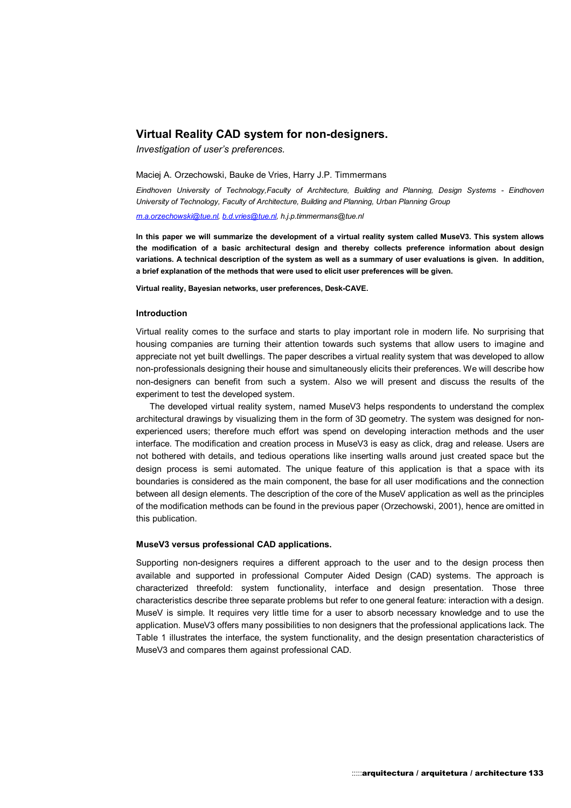# **Virtual Reality CAD system for non-designers.**

*Investigation of user's preferences.* 

Maciej A. Orzechowski, Bauke de Vries, Harry J.P. Timmermans

*Eindhoven University of Technology,Faculty of Architecture, Building and Planning, Design Systems - Eindhoven University of Technology, Faculty of Architecture, Building and Planning, Urban Planning Group* 

*m.a.orzechowski@tue.nl, b.d.vries@tue.nl, h.j.p.timmermans@tue.nl*

**In this paper we will summarize the development of a virtual reality system called MuseV3. This system allows the modification of a basic architectural design and thereby collects preference information about design variations. A technical description of the system as well as a summary of user evaluations is given. In addition, a brief explanation of the methods that were used to elicit user preferences will be given.** 

**Virtual reality, Bayesian networks, user preferences, Desk-CAVE.**

## **Introduction**

Virtual reality comes to the surface and starts to play important role in modern life. No surprising that housing companies are turning their attention towards such systems that allow users to imagine and appreciate not yet built dwellings. The paper describes a virtual reality system that was developed to allow non-professionals designing their house and simultaneously elicits their preferences. We will describe how non-designers can benefit from such a system. Also we will present and discuss the results of the experiment to test the developed system.

The developed virtual reality system, named MuseV3 helps respondents to understand the complex architectural drawings by visualizing them in the form of 3D geometry. The system was designed for nonexperienced users; therefore much effort was spend on developing interaction methods and the user interface. The modification and creation process in MuseV3 is easy as click, drag and release. Users are not bothered with details, and tedious operations like inserting walls around just created space but the design process is semi automated. The unique feature of this application is that a space with its boundaries is considered as the main component, the base for all user modifications and the connection between all design elements. The description of the core of the MuseV application as well as the principles of the modification methods can be found in the previous paper (Orzechowski, 2001), hence are omitted in this publication.

## **MuseV3 versus professional CAD applications.**

Supporting non-designers requires a different approach to the user and to the design process then available and supported in professional Computer Aided Design (CAD) systems. The approach is characterized threefold: system functionality, interface and design presentation. Those three characteristics describe three separate problems but refer to one general feature: interaction with a design. MuseV is simple. It requires very little time for a user to absorb necessary knowledge and to use the application. MuseV3 offers many possibilities to non designers that the professional applications lack. The Table 1 illustrates the interface, the system functionality, and the design presentation characteristics of MuseV3 and compares them against professional CAD.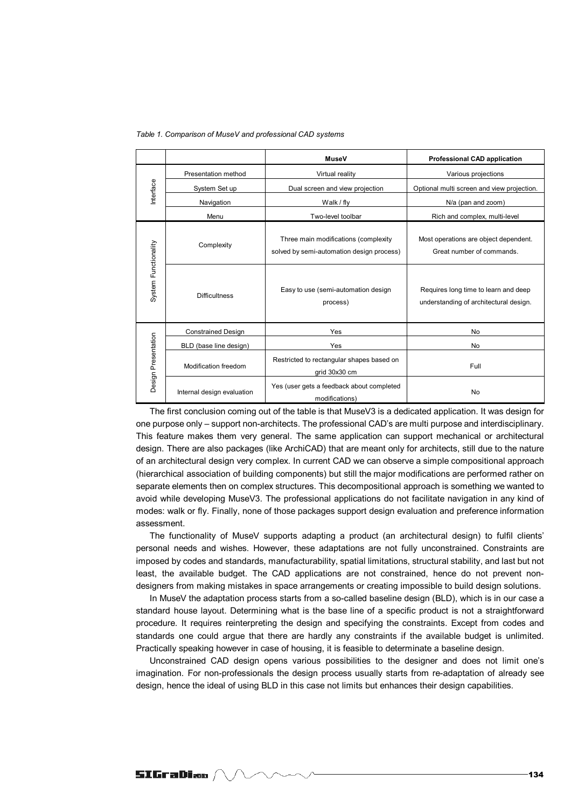|  |  |  | Table 1. Comparison of MuseV and professional CAD systems |  |
|--|--|--|-----------------------------------------------------------|--|
|--|--|--|-----------------------------------------------------------|--|

|                      |                            | <b>MuseV</b>                                                                      | <b>Professional CAD application</b>                                            |  |
|----------------------|----------------------------|-----------------------------------------------------------------------------------|--------------------------------------------------------------------------------|--|
| Interface            | Presentation method        | Virtual reality                                                                   | Various projections                                                            |  |
|                      | System Set up              | Dual screen and view projection                                                   | Optional multi screen and view projection.                                     |  |
|                      | Navigation                 | Walk / fly                                                                        | N/a (pan and zoom)                                                             |  |
|                      | Menu                       | Two-level toolbar                                                                 | Rich and complex, multi-level                                                  |  |
| System Functionality | Complexity                 | Three main modifications (complexity<br>solved by semi-automation design process) | Most operations are object dependent.<br>Great number of commands.             |  |
|                      | <b>Difficultness</b>       | Easy to use (semi-automation design<br>process)                                   | Requires long time to learn and deep<br>understanding of architectural design. |  |
| Design Presentation  | <b>Constrained Design</b>  | Yes                                                                               | <b>No</b>                                                                      |  |
|                      | BLD (base line design)     | Yes                                                                               | <b>No</b>                                                                      |  |
|                      | Modification freedom       | Restricted to rectangular shapes based on<br>grid 30x30 cm                        | Full                                                                           |  |
|                      | Internal design evaluation | Yes (user gets a feedback about completed<br>modifications)                       | No                                                                             |  |

The first conclusion coming out of the table is that MuseV3 is a dedicated application. It was design for one purpose only – support non-architects. The professional CAD's are multi purpose and interdisciplinary. This feature makes them very general. The same application can support mechanical or architectural design. There are also packages (like ArchiCAD) that are meant only for architects, still due to the nature of an architectural design very complex. In current CAD we can observe a simple compositional approach (hierarchical association of building components) but still the major modifications are performed rather on separate elements then on complex structures. This decompositional approach is something we wanted to avoid while developing MuseV3. The professional applications do not facilitate navigation in any kind of modes: walk or fly. Finally, none of those packages support design evaluation and preference information assessment.

The functionality of MuseV supports adapting a product (an architectural design) to fulfil clients' personal needs and wishes. However, these adaptations are not fully unconstrained. Constraints are imposed by codes and standards, manufacturability, spatial limitations, structural stability, and last but not least, the available budget. The CAD applications are not constrained, hence do not prevent nondesigners from making mistakes in space arrangements or creating impossible to build design solutions.

In MuseV the adaptation process starts from a so-called baseline design (BLD), which is in our case a standard house layout. Determining what is the base line of a specific product is not a straightforward procedure. It requires reinterpreting the design and specifying the constraints. Except from codes and standards one could argue that there are hardly any constraints if the available budget is unlimited. Practically speaking however in case of housing, it is feasible to determinate a baseline design.

Unconstrained CAD design opens various possibilities to the designer and does not limit one's imagination. For non-professionals the design process usually starts from re-adaptation of already see design, hence the ideal of using BLD in this case not limits but enhances their design capabilities.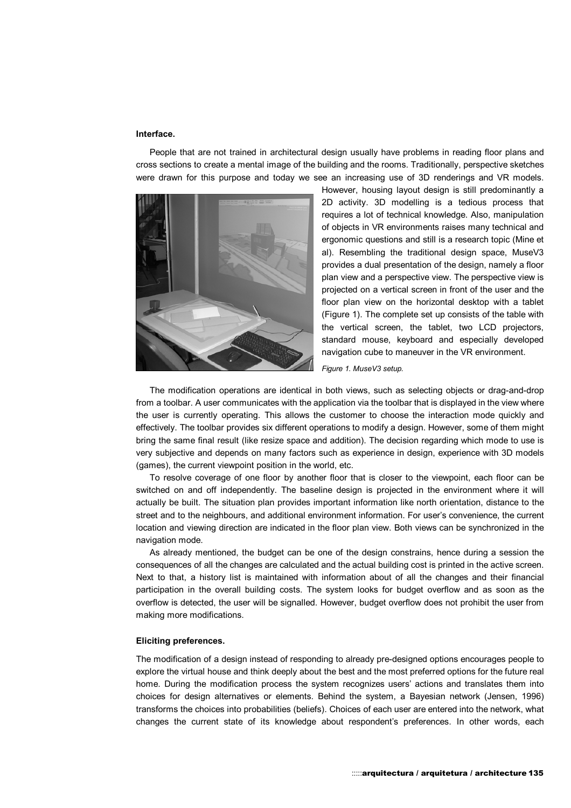#### **Interface.**

People that are not trained in architectural design usually have problems in reading floor plans and cross sections to create a mental image of the building and the rooms. Traditionally, perspective sketches were drawn for this purpose and today we see an increasing use of 3D renderings and VR models.



However, housing layout design is still predominantly a 2D activity. 3D modelling is a tedious process that requires a lot of technical knowledge. Also, manipulation of objects in VR environments raises many technical and ergonomic questions and still is a research topic (Mine et al). Resembling the traditional design space, MuseV3 provides a dual presentation of the design, namely a floor plan view and a perspective view. The perspective view is projected on a vertical screen in front of the user and the floor plan view on the horizontal desktop with a tablet (Figure 1). The complete set up consists of the table with the vertical screen, the tablet, two LCD projectors, standard mouse, keyboard and especially developed navigation cube to maneuver in the VR environment.

*Figure 1. MuseV3 setup.*

The modification operations are identical in both views, such as selecting objects or drag-and-drop from a toolbar. A user communicates with the application via the toolbar that is displayed in the view where the user is currently operating. This allows the customer to choose the interaction mode quickly and effectively. The toolbar provides six different operations to modify a design. However, some of them might bring the same final result (like resize space and addition). The decision regarding which mode to use is very subjective and depends on many factors such as experience in design, experience with 3D models (games), the current viewpoint position in the world, etc.

To resolve coverage of one floor by another floor that is closer to the viewpoint, each floor can be switched on and off independently. The baseline design is projected in the environment where it will actually be built. The situation plan provides important information like north orientation, distance to the street and to the neighbours, and additional environment information. For user's convenience, the current location and viewing direction are indicated in the floor plan view. Both views can be synchronized in the navigation mode.

As already mentioned, the budget can be one of the design constrains, hence during a session the consequences of all the changes are calculated and the actual building cost is printed in the active screen. Next to that, a history list is maintained with information about of all the changes and their financial participation in the overall building costs. The system looks for budget overflow and as soon as the overflow is detected, the user will be signalled. However, budget overflow does not prohibit the user from making more modifications.

#### **Eliciting preferences.**

The modification of a design instead of responding to already pre-designed options encourages people to explore the virtual house and think deeply about the best and the most preferred options for the future real home. During the modification process the system recognizes users' actions and translates them into choices for design alternatives or elements. Behind the system, a Bayesian network (Jensen, 1996) transforms the choices into probabilities (beliefs). Choices of each user are entered into the network, what changes the current state of its knowledge about respondent's preferences. In other words, each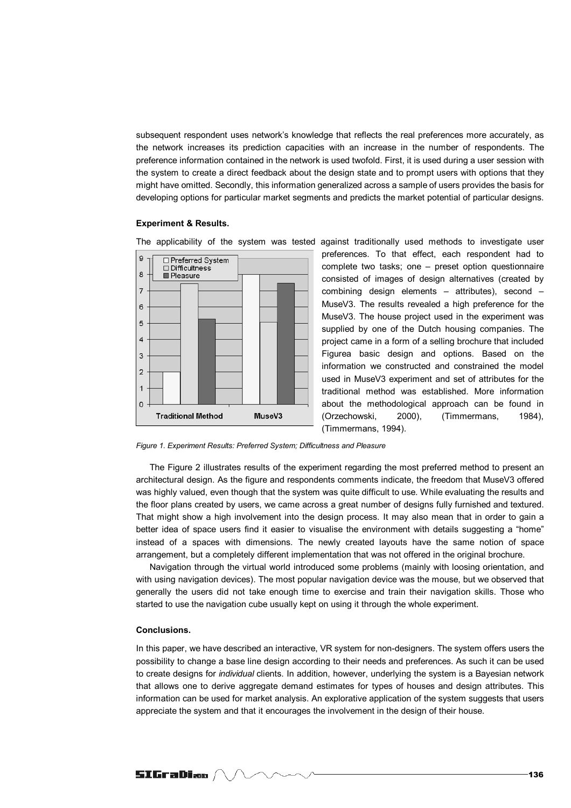subsequent respondent uses network's knowledge that reflects the real preferences more accurately, as the network increases its prediction capacities with an increase in the number of respondents. The preference information contained in the network is used twofold. First, it is used during a user session with the system to create a direct feedback about the design state and to prompt users with options that they might have omitted. Secondly, this information generalized across a sample of users provides the basis for developing options for particular market segments and predicts the market potential of particular designs.

#### **Experiment & Results.**



The applicability of the system was tested against traditionally used methods to investigate user preferences. To that effect, each respondent had to complete two tasks; one – preset option questionnaire consisted of images of design alternatives (created by combining design elements – attributes), second – MuseV3. The results revealed a high preference for the MuseV3. The house project used in the experiment was supplied by one of the Dutch housing companies. The project came in a form of a selling brochure that included Figurea basic design and options. Based on the information we constructed and constrained the model used in MuseV3 experiment and set of attributes for the traditional method was established. More information about the methodological approach can be found in (Orzechowski, 2000), (Timmermans, 1984), (Timmermans, 1994).

*Figure 1. Experiment Results: Preferred System; Difficultness and Pleasure*

The Figure 2 illustrates results of the experiment regarding the most preferred method to present an architectural design. As the figure and respondents comments indicate, the freedom that MuseV3 offered was highly valued, even though that the system was quite difficult to use. While evaluating the results and the floor plans created by users, we came across a great number of designs fully furnished and textured. That might show a high involvement into the design process. It may also mean that in order to gain a better idea of space users find it easier to visualise the environment with details suggesting a "home" instead of a spaces with dimensions. The newly created layouts have the same notion of space arrangement, but a completely different implementation that was not offered in the original brochure.

Navigation through the virtual world introduced some problems (mainly with loosing orientation, and with using navigation devices). The most popular navigation device was the mouse, but we observed that generally the users did not take enough time to exercise and train their navigation skills. Those who started to use the navigation cube usually kept on using it through the whole experiment.

## **Conclusions.**

In this paper, we have described an interactive, VR system for non-designers. The system offers users the possibility to change a base line design according to their needs and preferences. As such it can be used to create designs for *individual* clients. In addition, however, underlying the system is a Bayesian network that allows one to derive aggregate demand estimates for types of houses and design attributes. This information can be used for market analysis. An explorative application of the system suggests that users appreciate the system and that it encourages the involvement in the design of their house.